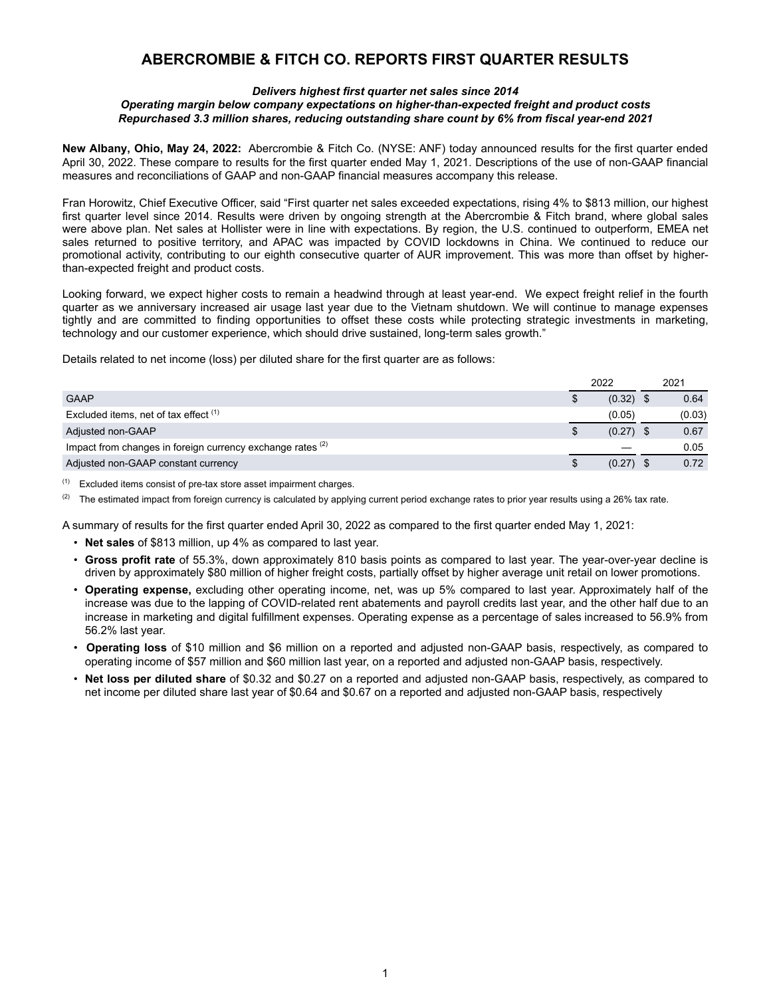# **ABERCROMBIE & FITCH CO. REPORTS FIRST QUARTER RESULTS**

#### *Delivers highest first quarter net sales since 2014*

# *Operating margin below company expectations on higher-than-expected freight and product costs Repurchased 3.3 million shares, reducing outstanding share count by 6% from fiscal year-end 2021*

**New Albany, Ohio, May 24, 2022:** Abercrombie & Fitch Co. (NYSE: ANF) today announced results for the first quarter ended April 30, 2022. These compare to results for the first quarter ended May 1, 2021. Descriptions of the use of non-GAAP financial measures and reconciliations of GAAP and non-GAAP financial measures accompany this release.

Fran Horowitz, Chief Executive Officer, said "First quarter net sales exceeded expectations, rising 4% to \$813 million, our highest first quarter level since 2014. Results were driven by ongoing strength at the Abercrombie & Fitch brand, where global sales were above plan. Net sales at Hollister were in line with expectations. By region, the U.S. continued to outperform, EMEA net sales returned to positive territory, and APAC was impacted by COVID lockdowns in China. We continued to reduce our promotional activity, contributing to our eighth consecutive quarter of AUR improvement. This was more than offset by higherthan-expected freight and product costs.

Looking forward, we expect higher costs to remain a headwind through at least year-end. We expect freight relief in the fourth quarter as we anniversary increased air usage last year due to the Vietnam shutdown. We will continue to manage expenses tightly and are committed to finding opportunities to offset these costs while protecting strategic investments in marketing, technology and our customer experience, which should drive sustained, long-term sales growth."

Details related to net income (loss) per diluted share for the first quarter are as follows:

|                                                              | 2022        | 2021   |
|--------------------------------------------------------------|-------------|--------|
| <b>GAAP</b>                                                  | $(0.32)$ \$ | 0.64   |
| Excluded items, net of tax effect <sup>(1)</sup>             | (0.05)      | (0.03) |
| Adjusted non-GAAP                                            | $(0.27)$ \$ | 0.67   |
| Impact from changes in foreign currency exchange rates $(2)$ |             | 0.05   |
| Adjusted non-GAAP constant currency                          | $(0.27)$ \$ | 0.72   |

 $(1)$  Excluded items consist of pre-tax store asset impairment charges.

(2) The estimated impact from foreign currency is calculated by applying current period exchange rates to prior year results using a 26% tax rate.

A summary of results for the first quarter ended April 30, 2022 as compared to the first quarter ended May 1, 2021:

- **Net sales** of \$813 million, up 4% as compared to last year.
- **Gross profit rate** of 55.3%, down approximately 810 basis points as compared to last year. The year-over-year decline is driven by approximately \$80 million of higher freight costs, partially offset by higher average unit retail on lower promotions.
- **Operating expense,** excluding other operating income, net, was up 5% compared to last year. Approximately half of the increase was due to the lapping of COVID-related rent abatements and payroll credits last year, and the other half due to an increase in marketing and digital fulfillment expenses. Operating expense as a percentage of sales increased to 56.9% from 56.2% last year.
- **Operating loss** of \$10 million and \$6 million on a reported and adjusted non-GAAP basis, respectively, as compared to operating income of \$57 million and \$60 million last year, on a reported and adjusted non-GAAP basis, respectively.
- **Net loss per diluted share** of \$0.32 and \$0.27 on a reported and adjusted non-GAAP basis, respectively, as compared to net income per diluted share last year of \$0.64 and \$0.67 on a reported and adjusted non-GAAP basis, respectively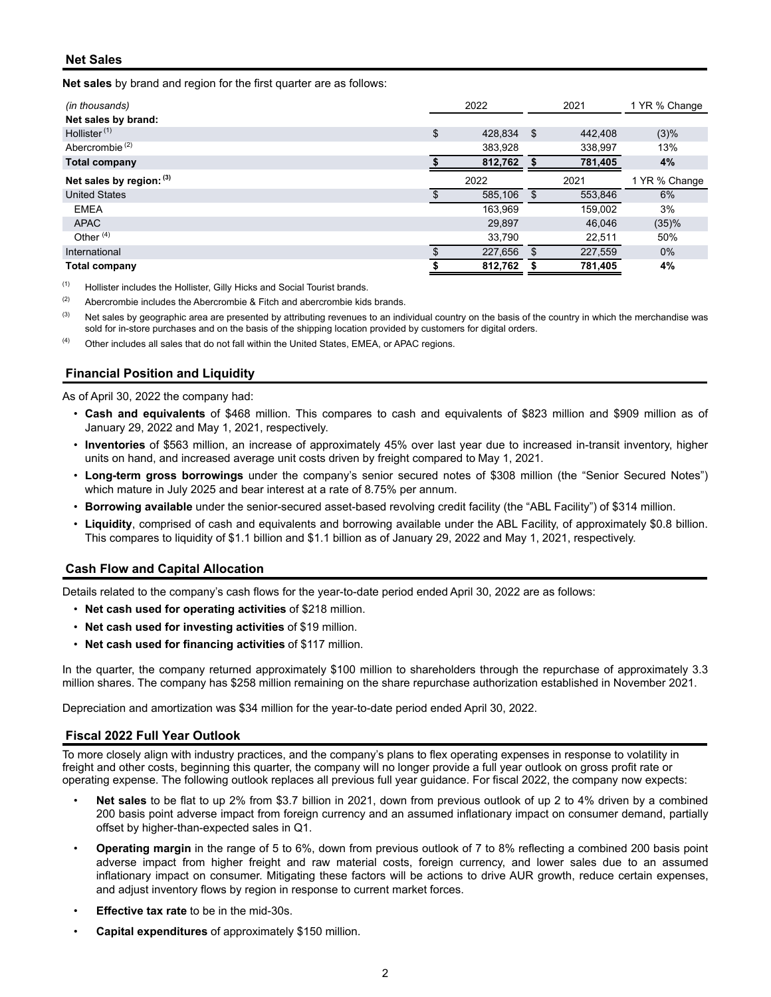# **Net Sales**

**Net sales** by brand and region for the first quarter are as follows:

| (in thousands)             | 2022 |         |     | 2021    | 1 YR % Change |
|----------------------------|------|---------|-----|---------|---------------|
| Net sales by brand:        |      |         |     |         |               |
| Hollister <sup>(1)</sup>   | \$   | 428,834 | \$  | 442,408 | (3)%          |
| Abercrombie <sup>(2)</sup> |      | 383,928 |     | 338,997 | 13%           |
| <b>Total company</b>       |      | 812,762 |     | 781,405 | 4%            |
| Net sales by region: (3)   |      | 2022    |     | 2021    | 1 YR % Change |
| <b>United States</b>       |      | 585,106 | \$. | 553,846 | 6%            |
| <b>EMEA</b>                |      | 163.969 |     | 159.002 | 3%            |
| <b>APAC</b>                |      | 29,897  |     | 46,046  | (35)%         |
| Other $(4)$                |      | 33,790  |     | 22,511  | 50%           |
| International              |      | 227,656 | S   | 227,559 | $0\%$         |
| <b>Total company</b>       |      | 812.762 |     | 781.405 | 4%            |

 $(1)$  Hollister includes the Hollister, Gilly Hicks and Social Tourist brands.

(2) Abercrombie includes the Abercrombie & Fitch and abercrombie kids brands.

<sup>(3)</sup> Net sales by geographic area are presented by attributing revenues to an individual country on the basis of the country in which the merchandise was sold for in-store purchases and on the basis of the shipping location provided by customers for digital orders.

 $(4)$  Other includes all sales that do not fall within the United States, EMEA, or APAC regions.

# **Financial Position and Liquidity**

As of April 30, 2022 the company had:

- **Cash and equivalents** of \$468 million. This compares to cash and equivalents of \$823 million and \$909 million as of January 29, 2022 and May 1, 2021, respectively.
- **Inventories** of \$563 million, an increase of approximately 45% over last year due to increased in-transit inventory, higher units on hand, and increased average unit costs driven by freight compared to May 1, 2021.
- **Long-term gross borrowings** under the company's senior secured notes of \$308 million (the "Senior Secured Notes") which mature in July 2025 and bear interest at a rate of 8.75% per annum.
- **Borrowing available** under the senior-secured asset-based revolving credit facility (the "ABL Facility") of \$314 million.
- **Liquidity**, comprised of cash and equivalents and borrowing available under the ABL Facility, of approximately \$0.8 billion. This compares to liquidity of \$1.1 billion and \$1.1 billion as of January 29, 2022 and May 1, 2021, respectively.

# **Cash Flow and Capital Allocation**

Details related to the company's cash flows for the year-to-date period ended April 30, 2022 are as follows:

- **Net cash used for operating activities** of \$218 million.
- **Net cash used for investing activities** of \$19 million.
- **Net cash used for financing activities** of \$117 million.

In the quarter, the company returned approximately \$100 million to shareholders through the repurchase of approximately 3.3 million shares. The company has \$258 million remaining on the share repurchase authorization established in November 2021.

Depreciation and amortization was \$34 million for the year-to-date period ended April 30, 2022.

#### **Fiscal 2022 Full Year Outlook**

To more closely align with industry practices, and the company's plans to flex operating expenses in response to volatility in freight and other costs, beginning this quarter, the company will no longer provide a full year outlook on gross profit rate or operating expense. The following outlook replaces all previous full year guidance. For fiscal 2022, the company now expects:

- **Net sales** to be flat to up 2% from \$3.7 billion in 2021, down from previous outlook of up 2 to 4% driven by a combined 200 basis point adverse impact from foreign currency and an assumed inflationary impact on consumer demand, partially offset by higher-than-expected sales in Q1.
- **Operating margin** in the range of 5 to 6%, down from previous outlook of 7 to 8% reflecting a combined 200 basis point adverse impact from higher freight and raw material costs, foreign currency, and lower sales due to an assumed inflationary impact on consumer. Mitigating these factors will be actions to drive AUR growth, reduce certain expenses, and adjust inventory flows by region in response to current market forces.
- **Effective tax rate** to be in the mid-30s.
- **Capital expenditures** of approximately \$150 million.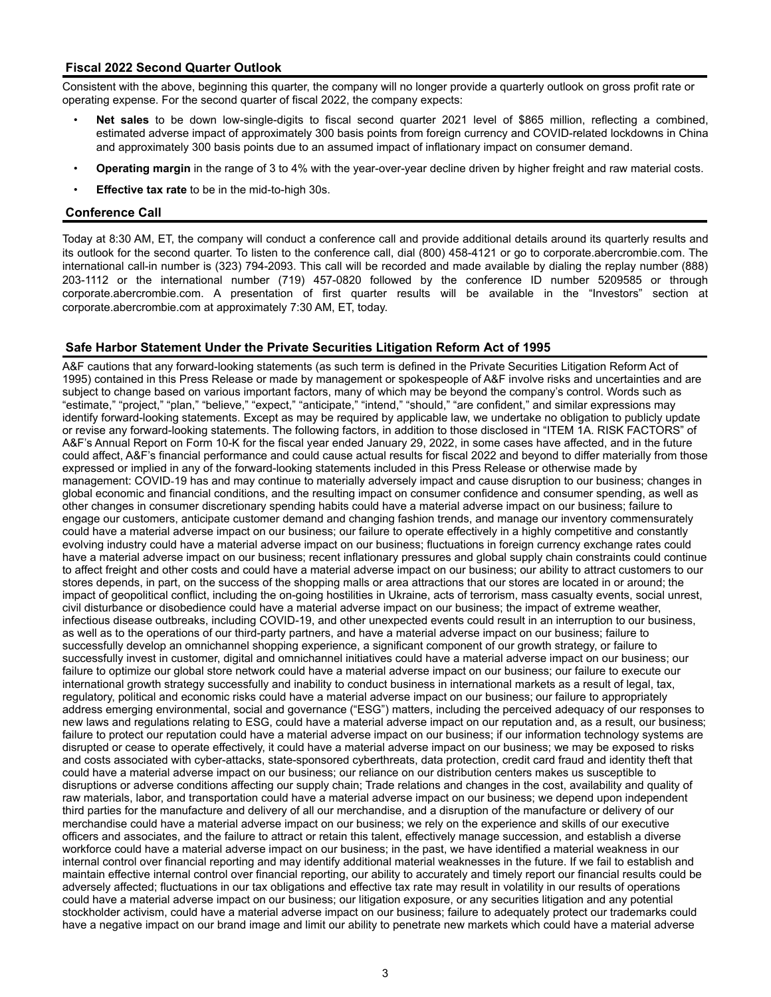# **Fiscal 2022 Second Quarter Outlook**

Consistent with the above, beginning this quarter, the company will no longer provide a quarterly outlook on gross profit rate or operating expense. For the second quarter of fiscal 2022, the company expects:

- **Net sales** to be down low-single-digits to fiscal second quarter 2021 level of \$865 million, reflecting a combined, estimated adverse impact of approximately 300 basis points from foreign currency and COVID-related lockdowns in China and approximately 300 basis points due to an assumed impact of inflationary impact on consumer demand.
- **Operating margin** in the range of 3 to 4% with the year-over-year decline driven by higher freight and raw material costs.
- **Effective tax rate** to be in the mid-to-high 30s.

### **Conference Call**

Today at 8:30 AM, ET, the company will conduct a conference call and provide additional details around its quarterly results and its outlook for the second quarter. To listen to the conference call, dial (800) 458-4121 or go to corporate.abercrombie.com. The international call-in number is (323) 794-2093. This call will be recorded and made available by dialing the replay number (888) 203-1112 or the international number (719) 457-0820 followed by the conference ID number 5209585 or through corporate.abercrombie.com. A presentation of first quarter results will be available in the "Investors" section at corporate.abercrombie.com at approximately 7:30 AM, ET, today.

## **Safe Harbor Statement Under the Private Securities Litigation Reform Act of 1995**

A&F cautions that any forward-looking statements (as such term is defined in the Private Securities Litigation Reform Act of 1995) contained in this Press Release or made by management or spokespeople of A&F involve risks and uncertainties and are subject to change based on various important factors, many of which may be beyond the company's control. Words such as "estimate," "project," "plan," "believe," "expect," "anticipate," "intend," "should," "are confident," and similar expressions may identify forward-looking statements. Except as may be required by applicable law, we undertake no obligation to publicly update or revise any forward-looking statements. The following factors, in addition to those disclosed in "ITEM 1A. RISK FACTORS" of A&F's Annual Report on Form 10-K for the fiscal year ended January 29, 2022, in some cases have affected, and in the future could affect, A&F's financial performance and could cause actual results for fiscal 2022 and beyond to differ materially from those expressed or implied in any of the forward-looking statements included in this Press Release or otherwise made by management: COVID-19 has and may continue to materially adversely impact and cause disruption to our business; changes in global economic and financial conditions, and the resulting impact on consumer confidence and consumer spending, as well as other changes in consumer discretionary spending habits could have a material adverse impact on our business; failure to engage our customers, anticipate customer demand and changing fashion trends, and manage our inventory commensurately could have a material adverse impact on our business; our failure to operate effectively in a highly competitive and constantly evolving industry could have a material adverse impact on our business; fluctuations in foreign currency exchange rates could have a material adverse impact on our business; recent inflationary pressures and global supply chain constraints could continue to affect freight and other costs and could have a material adverse impact on our business; our ability to attract customers to our stores depends, in part, on the success of the shopping malls or area attractions that our stores are located in or around; the impact of geopolitical conflict, including the on-going hostilities in Ukraine, acts of terrorism, mass casualty events, social unrest, civil disturbance or disobedience could have a material adverse impact on our business; the impact of extreme weather, infectious disease outbreaks, including COVID-19, and other unexpected events could result in an interruption to our business, as well as to the operations of our third-party partners, and have a material adverse impact on our business; failure to successfully develop an omnichannel shopping experience, a significant component of our growth strategy, or failure to successfully invest in customer, digital and omnichannel initiatives could have a material adverse impact on our business; our failure to optimize our global store network could have a material adverse impact on our business; our failure to execute our international growth strategy successfully and inability to conduct business in international markets as a result of legal, tax, regulatory, political and economic risks could have a material adverse impact on our business; our failure to appropriately address emerging environmental, social and governance ("ESG") matters, including the perceived adequacy of our responses to new laws and regulations relating to ESG, could have a material adverse impact on our reputation and, as a result, our business; failure to protect our reputation could have a material adverse impact on our business; if our information technology systems are disrupted or cease to operate effectively, it could have a material adverse impact on our business; we may be exposed to risks and costs associated with cyber-attacks, state-sponsored cyberthreats, data protection, credit card fraud and identity theft that could have a material adverse impact on our business; our reliance on our distribution centers makes us susceptible to disruptions or adverse conditions affecting our supply chain; Trade relations and changes in the cost, availability and quality of raw materials, labor, and transportation could have a material adverse impact on our business; we depend upon independent third parties for the manufacture and delivery of all our merchandise, and a disruption of the manufacture or delivery of our merchandise could have a material adverse impact on our business; we rely on the experience and skills of our executive officers and associates, and the failure to attract or retain this talent, effectively manage succession, and establish a diverse workforce could have a material adverse impact on our business; in the past, we have identified a material weakness in our internal control over financial reporting and may identify additional material weaknesses in the future. If we fail to establish and maintain effective internal control over financial reporting, our ability to accurately and timely report our financial results could be adversely affected; fluctuations in our tax obligations and effective tax rate may result in volatility in our results of operations could have a material adverse impact on our business; our litigation exposure, or any securities litigation and any potential stockholder activism, could have a material adverse impact on our business; failure to adequately protect our trademarks could have a negative impact on our brand image and limit our ability to penetrate new markets which could have a material adverse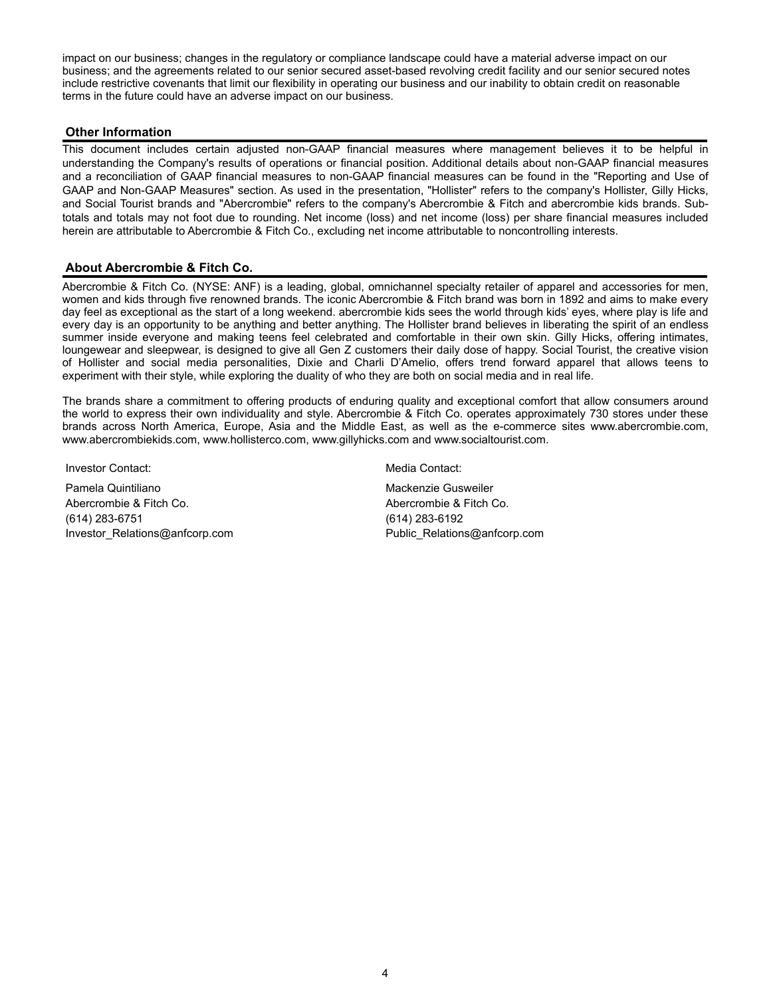impact on our business; changes in the regulatory or compliance landscape could have a material adverse impact on our business; and the agreements related to our senior secured asset-based revolving credit facility and our senior secured notes include restrictive covenants that limit our flexibility in operating our business and our inability to obtain credit on reasonable terms in the future could have an adverse impact on our business.

# **Other Information**

This document includes certain adjusted non-GAAP financial measures where management believes it to be helpful in understanding the Company's results of operations or financial position. Additional details about non-GAAP financial measures and a reconciliation of GAAP financial measures to non-GAAP financial measures can be found in the "Reporting and Use of GAAP and Non-GAAP Measures" section. As used in the presentation, "Hollister" refers to the company's Hollister, Gilly Hicks, and Social Tourist brands and "Abercrombie" refers to the company's Abercrombie & Fitch and abercrombie kids brands. Subtotals and totals may not foot due to rounding. Net income (loss) and net income (loss) per share financial measures included herein are attributable to Abercrombie & Fitch Co., excluding net income attributable to noncontrolling interests.

## **About Abercrombie & Fitch Co.**

Abercrombie & Fitch Co. (NYSE: ANF) is a leading, global, omnichannel specialty retailer of apparel and accessories for men, women and kids through five renowned brands. The iconic Abercrombie & Fitch brand was born in 1892 and aims to make every day feel as exceptional as the start of a long weekend. abercrombie kids sees the world through kids' eyes, where play is life and every day is an opportunity to be anything and better anything. The Hollister brand believes in liberating the spirit of an endless summer inside everyone and making teens feel celebrated and comfortable in their own skin. Gilly Hicks, offering intimates, loungewear and sleepwear, is designed to give all Gen Z customers their daily dose of happy. Social Tourist, the creative vision of Hollister and social media personalities, Dixie and Charli D'Amelio, offers trend forward apparel that allows teens to experiment with their style, while exploring the duality of who they are both on social media and in real life.

The brands share a commitment to offering products of enduring quality and exceptional comfort that allow consumers around the world to express their own individuality and style. Abercrombie & Fitch Co. operates approximately 730 stores under these brands across North America, Europe, Asia and the Middle East, as well as the e-commerce sites www.abercrombie.com, www.abercrombiekids.com, www.hollisterco.com, www.gillyhicks.com and www.socialtourist.com.

Investor Contact: New York Contact: New York Contact: Media Contact:

Pamela Quintiliano **Mackenzie Gusweiler** Mackenzie Gusweiler Abercrombie & Fitch Co. Abercrombie & Fitch Co. (614) 283-6751 (614) 283-6192 Investor\_Relations@anfcorp.com Public\_Relations@anfcorp.com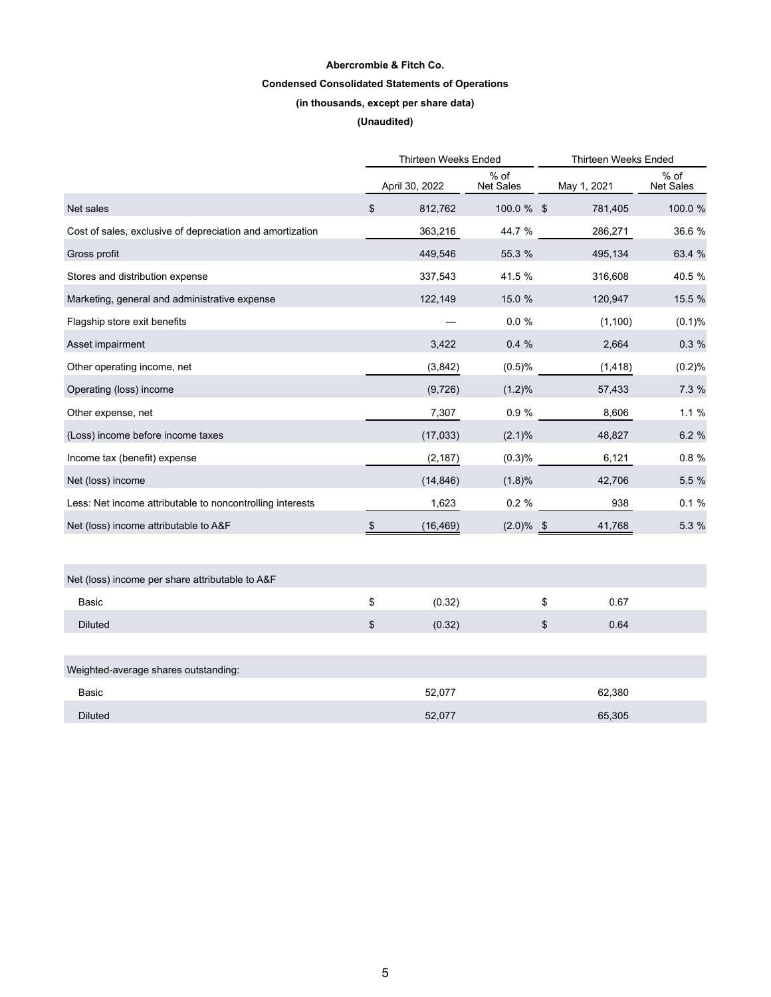# **Abercrombie & Fitch Co.**

# **Condensed Consolidated Statements of Operations**

# **(in thousands, except per share data)**

# **(Unaudited)**

|                                                           | Thirteen Weeks Ended |                   | <b>Thirteen Weeks Ended</b> |                            |  |
|-----------------------------------------------------------|----------------------|-------------------|-----------------------------|----------------------------|--|
|                                                           | April 30, 2022       | % of<br>Net Sales | May 1, 2021                 | $%$ of<br><b>Net Sales</b> |  |
| Net sales                                                 | \$<br>812,762        | 100.0 % \$        | 781,405                     | 100.0%                     |  |
| Cost of sales, exclusive of depreciation and amortization | 363,216              | 44.7 %            | 286,271                     | 36.6 %                     |  |
| Gross profit                                              | 449,546              | 55.3 %            | 495,134                     | 63.4 %                     |  |
| Stores and distribution expense                           | 337,543              | 41.5 %            | 316,608                     | 40.5 %                     |  |
| Marketing, general and administrative expense             | 122,149              | 15.0 %            | 120,947                     | 15.5 %                     |  |
| Flagship store exit benefits                              |                      | 0.0%              | (1,100)                     | (0.1)%                     |  |
| Asset impairment                                          | 3,422                | 0.4%              | 2,664                       | 0.3%                       |  |
| Other operating income, net                               | (3,842)              | (0.5)%            | (1, 418)                    | (0.2)%                     |  |
| Operating (loss) income                                   | (9, 726)             | $(1.2)\%$         | 57,433                      | 7.3 %                      |  |
| Other expense, net                                        | 7,307                | 0.9%              | 8,606                       | 1.1%                       |  |
| (Loss) income before income taxes                         | (17, 033)            | $(2.1)\%$         | 48,827                      | 6.2 %                      |  |
| Income tax (benefit) expense                              | (2, 187)             | (0.3)%            | 6,121                       | 0.8%                       |  |
| Net (loss) income                                         | (14, 846)            | (1.8)%            | 42,706                      | 5.5 %                      |  |
| Less: Net income attributable to noncontrolling interests | 1,623                | 0.2 %             | 938                         | 0.1%                       |  |
| Net (loss) income attributable to A&F                     | \$<br>(16, 469)      | $(2.0) \%$ \$     | 41,768                      | 5.3 %                      |  |
| Net (loss) income per share attributable to A&F           |                      |                   |                             |                            |  |
| Basic                                                     | \$<br>(0.32)         |                   | \$<br>0.67                  |                            |  |
| <b>Diluted</b>                                            | \$<br>(0.32)         |                   | \$<br>0.64                  |                            |  |
|                                                           |                      |                   |                             |                            |  |
| Weighted-average shares outstanding:                      |                      |                   |                             |                            |  |
| Basic                                                     | 52,077               |                   | 62,380                      |                            |  |
| <b>Diluted</b>                                            | 52,077               |                   | 65,305                      |                            |  |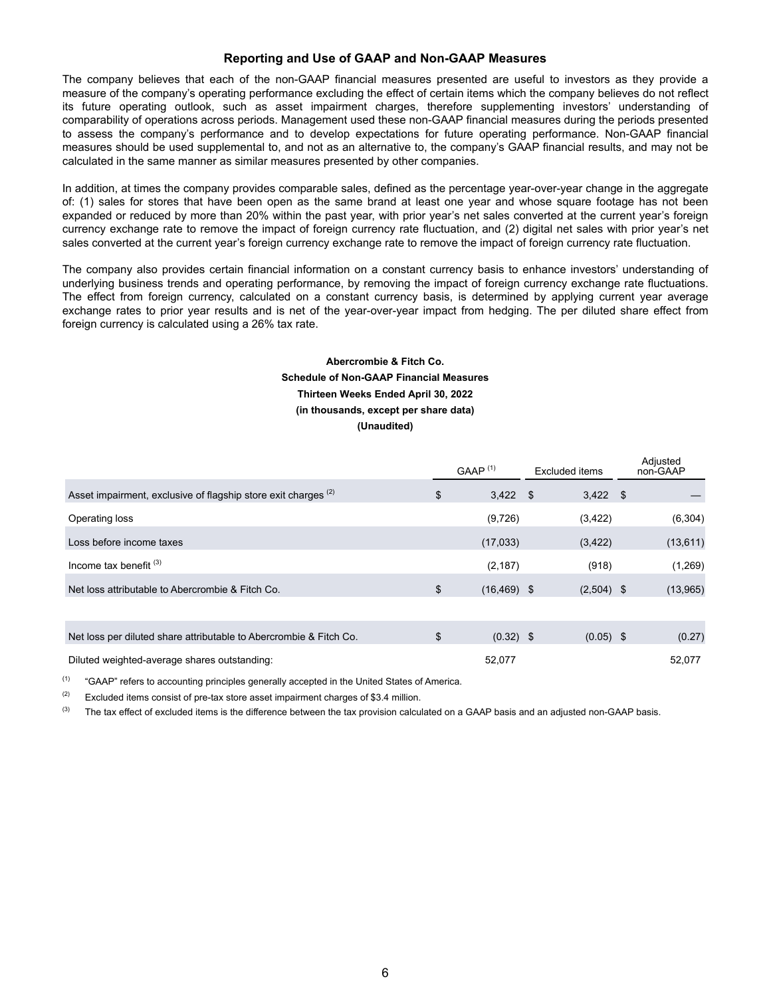### **Reporting and Use of GAAP and Non-GAAP Measures**

The company believes that each of the non-GAAP financial measures presented are useful to investors as they provide a measure of the company's operating performance excluding the effect of certain items which the company believes do not reflect its future operating outlook, such as asset impairment charges, therefore supplementing investors' understanding of comparability of operations across periods. Management used these non-GAAP financial measures during the periods presented to assess the company's performance and to develop expectations for future operating performance. Non-GAAP financial measures should be used supplemental to, and not as an alternative to, the company's GAAP financial results, and may not be calculated in the same manner as similar measures presented by other companies.

In addition, at times the company provides comparable sales, defined as the percentage year-over-year change in the aggregate of: (1) sales for stores that have been open as the same brand at least one year and whose square footage has not been expanded or reduced by more than 20% within the past year, with prior year's net sales converted at the current year's foreign currency exchange rate to remove the impact of foreign currency rate fluctuation, and (2) digital net sales with prior year's net sales converted at the current year's foreign currency exchange rate to remove the impact of foreign currency rate fluctuation.

The company also provides certain financial information on a constant currency basis to enhance investors' understanding of underlying business trends and operating performance, by removing the impact of foreign currency exchange rate fluctuations. The effect from foreign currency, calculated on a constant currency basis, is determined by applying current year average exchange rates to prior year results and is net of the year-over-year impact from hedging. The per diluted share effect from foreign currency is calculated using a 26% tax rate.

# **Abercrombie & Fitch Co. Schedule of Non-GAAP Financial Measures Thirteen Weeks Ended April 30, 2022 (in thousands, except per share data) (Unaudited)**

|                                                                    | $GAAP$ <sup>(1)</sup> | Excluded items | Adjusted<br>non-GAAP |
|--------------------------------------------------------------------|-----------------------|----------------|----------------------|
| Asset impairment, exclusive of flagship store exit charges (2)     | \$<br>$3,422$ \$      | $3,422$ \$     |                      |
| Operating loss                                                     | (9,726)               | (3, 422)       | (6, 304)             |
| Loss before income taxes                                           | (17,033)              | (3, 422)       | (13, 611)            |
| Income tax benefit $(3)$                                           | (2, 187)              | (918)          | (1,269)              |
| Net loss attributable to Abercrombie & Fitch Co.                   | \$<br>$(16, 469)$ \$  | $(2,504)$ \$   | (13, 965)            |
|                                                                    |                       |                |                      |
| Net loss per diluted share attributable to Abercrombie & Fitch Co. | \$<br>$(0.32)$ \$     | $(0.05)$ \$    | (0.27)               |
| Diluted weighted-average shares outstanding:                       | 52,077                |                | 52,077               |

 $(1)$  "GAAP" refers to accounting principles generally accepted in the United States of America.

 $(2)$  Excluded items consist of pre-tax store asset impairment charges of \$3.4 million.

 $^{(3)}$  The tax effect of excluded items is the difference between the tax provision calculated on a GAAP basis and an adjusted non-GAAP basis.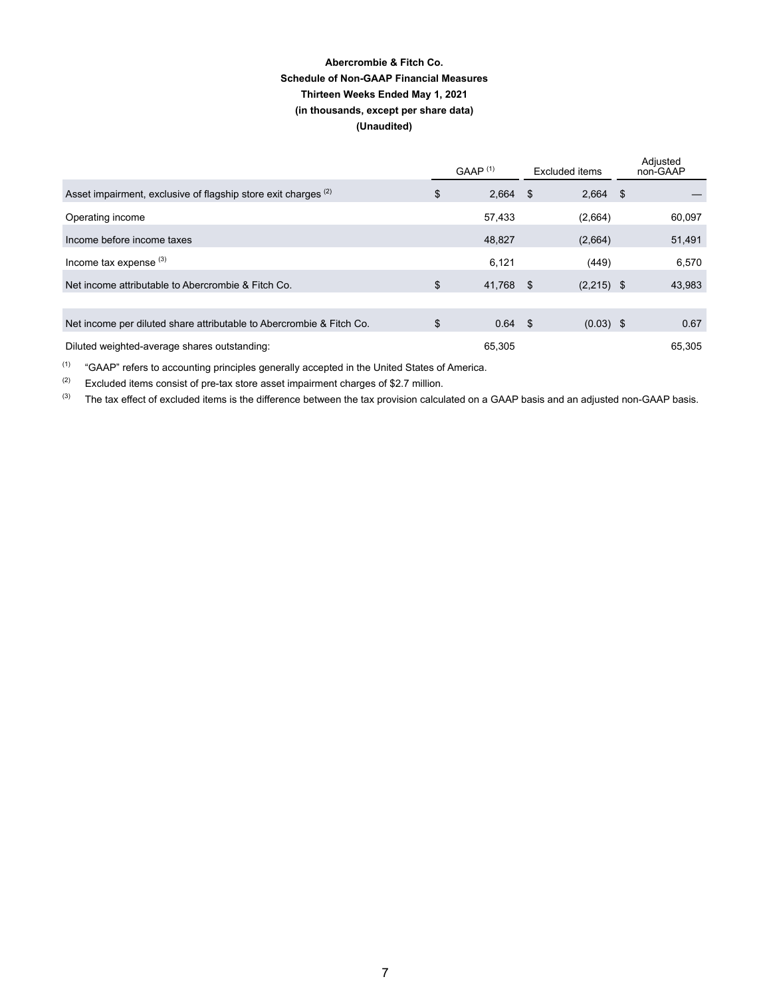# **Abercrombie & Fitch Co. Schedule of Non-GAAP Financial Measures Thirteen Weeks Ended May 1, 2021 (in thousands, except per share data) (Unaudited)**

|                                                                           | $GAAP$ <sup>(1)</sup> |      | Excluded items | Adjusted<br>non-GAAP |
|---------------------------------------------------------------------------|-----------------------|------|----------------|----------------------|
| Asset impairment, exclusive of flagship store exit charges <sup>(2)</sup> | \$<br>2,664           | - \$ | $2,664$ \$     |                      |
| Operating income                                                          | 57,433                |      | (2,664)        | 60,097               |
| Income before income taxes                                                | 48,827                |      | (2,664)        | 51,491               |
| Income tax expense $(3)$                                                  | 6,121                 |      | (449)          | 6,570                |
| Net income attributable to Abercrombie & Fitch Co.                        | \$<br>41.768          | - \$ | $(2,215)$ \$   | 43,983               |
|                                                                           |                       |      |                |                      |
| Net income per diluted share attributable to Abercrombie & Fitch Co.      | \$<br>$0.64$ \$       |      | $(0.03)$ \$    | 0.67                 |
| Diluted weighted-average shares outstanding:                              | 65.305                |      |                | 65.305               |

(1) "GAAP" refers to accounting principles generally accepted in the United States of America.

 $(2)$  Excluded items consist of pre-tax store asset impairment charges of \$2.7 million.

<sup>(3)</sup> The tax effect of excluded items is the difference between the tax provision calculated on a GAAP basis and an adjusted non-GAAP basis.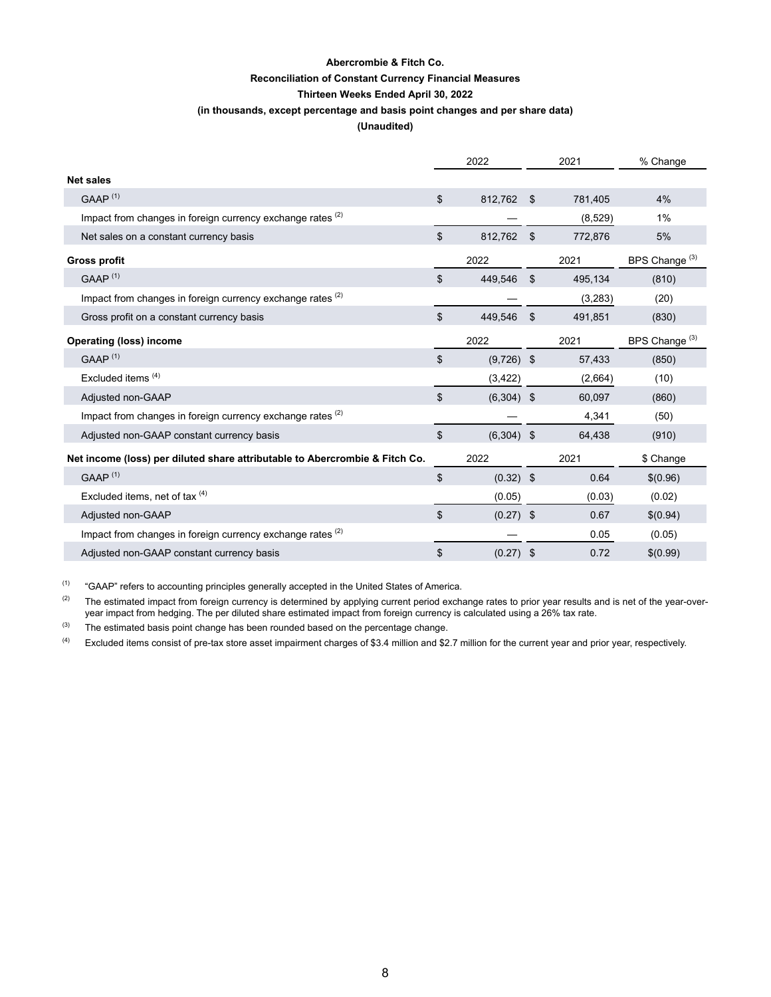#### **Abercrombie & Fitch Co.**

#### **Reconciliation of Constant Currency Financial Measures**

# **Thirteen Weeks Ended April 30, 2022**

# **(in thousands, except percentage and basis point changes and per share data)**

#### **(Unaudited)**

|                                                                             | 2022           |              | 2021 |         | % Change                  |
|-----------------------------------------------------------------------------|----------------|--------------|------|---------|---------------------------|
| <b>Net sales</b>                                                            |                |              |      |         |                           |
| $GAAP$ <sup>(1)</sup>                                                       | \$             | 812,762      | \$.  | 781,405 | 4%                        |
| Impact from changes in foreign currency exchange rates $(2)$                |                |              |      | (8,529) | 1%                        |
| Net sales on a constant currency basis                                      | \$             | 812,762      | \$   | 772,876 | 5%                        |
| <b>Gross profit</b>                                                         |                | 2022         |      | 2021    | BPS Change <sup>(3)</sup> |
| $GAAP$ <sup>(1)</sup>                                                       | $\mathfrak{L}$ | 449,546      | \$   | 495,134 | (810)                     |
| Impact from changes in foreign currency exchange rates <sup>(2)</sup>       |                |              |      | (3,283) | (20)                      |
| Gross profit on a constant currency basis                                   | \$             | 449,546      | \$   | 491,851 | (830)                     |
| <b>Operating (loss) income</b>                                              |                | 2022         |      | 2021    | BPS Change <sup>(3)</sup> |
| GAAP <sup>(1)</sup>                                                         | \$             | $(9,726)$ \$ |      | 57,433  | (850)                     |
| Excluded items <sup>(4)</sup>                                               |                | (3, 422)     |      | (2,664) | (10)                      |
| Adjusted non-GAAP                                                           | \$             | $(6,304)$ \$ |      | 60,097  | (860)                     |
| Impact from changes in foreign currency exchange rates <sup>(2)</sup>       |                |              |      | 4,341   | (50)                      |
| Adjusted non-GAAP constant currency basis                                   | \$             | $(6,304)$ \$ |      | 64,438  | (910)                     |
| Net income (loss) per diluted share attributable to Abercrombie & Fitch Co. |                | 2022         |      | 2021    | \$ Change                 |
| GAAP $(1)$                                                                  | \$             | $(0.32)$ \$  |      | 0.64    | \$(0.96)                  |
| Excluded items, net of tax $(4)$                                            |                | (0.05)       |      | (0.03)  | (0.02)                    |
| Adjusted non-GAAP                                                           | $\mathfrak{L}$ | $(0.27)$ \$  |      | 0.67    | \$(0.94)                  |
| Impact from changes in foreign currency exchange rates <sup>(2)</sup>       |                |              |      | 0.05    | (0.05)                    |
| Adjusted non-GAAP constant currency basis                                   | \$             | $(0.27)$ \$  |      | 0.72    | \$(0.99)                  |

 $(1)$  "GAAP" refers to accounting principles generally accepted in the United States of America.

<sup>(2)</sup> The estimated impact from foreign currency is determined by applying current period exchange rates to prior year results and is net of the year-overyear impact from hedging. The per diluted share estimated impact from foreign currency is calculated using a 26% tax rate.

 $(3)$  The estimated basis point change has been rounded based on the percentage change.

<sup>(4)</sup> Excluded items consist of pre-tax store asset impairment charges of \$3.4 million and \$2.7 million for the current year and prior year, respectively.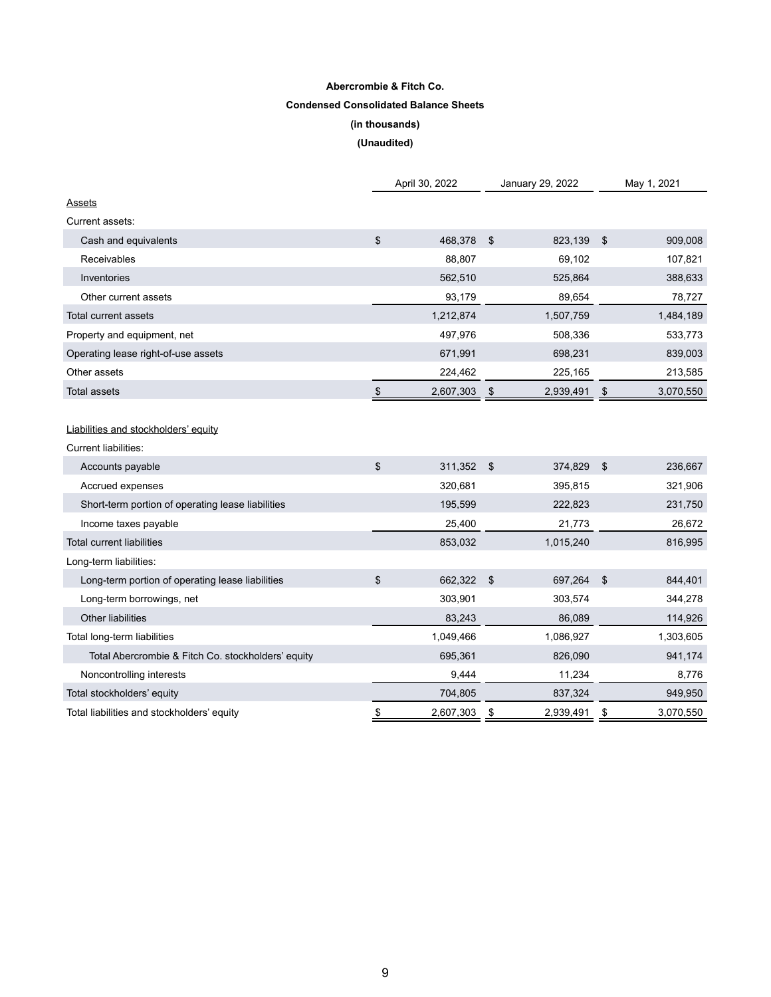# **Abercrombie & Fitch Co. Condensed Consolidated Balance Sheets (in thousands) (Unaudited)**

|                                                    | April 30, 2022  | January 29, 2022 |           |                | May 1, 2021 |
|----------------------------------------------------|-----------------|------------------|-----------|----------------|-------------|
| <b>Assets</b>                                      |                 |                  |           |                |             |
| Current assets:                                    |                 |                  |           |                |             |
| Cash and equivalents                               | \$<br>468,378   | $\sqrt[6]{3}$    | 823,139   | $\sqrt[6]{2}$  | 909,008     |
| Receivables                                        | 88,807          |                  | 69,102    |                | 107,821     |
| Inventories                                        | 562,510         |                  | 525,864   |                | 388,633     |
| Other current assets                               | 93,179          |                  | 89,654    |                | 78,727      |
| <b>Total current assets</b>                        | 1,212,874       |                  | 1,507,759 |                | 1,484,189   |
| Property and equipment, net                        | 497,976         |                  | 508,336   |                | 533,773     |
| Operating lease right-of-use assets                | 671,991         |                  | 698,231   |                | 839,003     |
| Other assets                                       | 224,462         |                  | 225,165   |                | 213,585     |
| <b>Total assets</b>                                | \$<br>2,607,303 | \$               | 2,939,491 | \$             | 3,070,550   |
|                                                    |                 |                  |           |                |             |
| Liabilities and stockholders' equity               |                 |                  |           |                |             |
| Current liabilities:                               |                 |                  |           |                |             |
| Accounts payable                                   | \$<br>311,352   | $\sqrt[6]{3}$    | 374,829   | $\mathfrak{S}$ | 236,667     |
| Accrued expenses                                   | 320,681         |                  | 395,815   |                | 321,906     |
| Short-term portion of operating lease liabilities  | 195,599         |                  | 222,823   |                | 231,750     |
| Income taxes payable                               | 25,400          |                  | 21,773    |                | 26,672      |
| <b>Total current liabilities</b>                   | 853,032         |                  | 1,015,240 |                | 816,995     |
| Long-term liabilities:                             |                 |                  |           |                |             |
| Long-term portion of operating lease liabilities   | \$<br>662,322   | $\sqrt[6]{3}$    | 697,264   | $\mathfrak{S}$ | 844,401     |
| Long-term borrowings, net                          | 303,901         |                  | 303,574   |                | 344,278     |
| Other liabilities                                  | 83,243          |                  | 86,089    |                | 114,926     |
| Total long-term liabilities                        | 1,049,466       |                  | 1,086,927 |                | 1,303,605   |
| Total Abercrombie & Fitch Co. stockholders' equity | 695,361         |                  | 826,090   |                | 941,174     |
| Noncontrolling interests                           | 9,444           |                  | 11,234    |                | 8,776       |
| Total stockholders' equity                         | 704,805         |                  | 837,324   |                | 949,950     |
| Total liabilities and stockholders' equity         | \$<br>2,607,303 | \$               | 2,939,491 | \$             | 3,070,550   |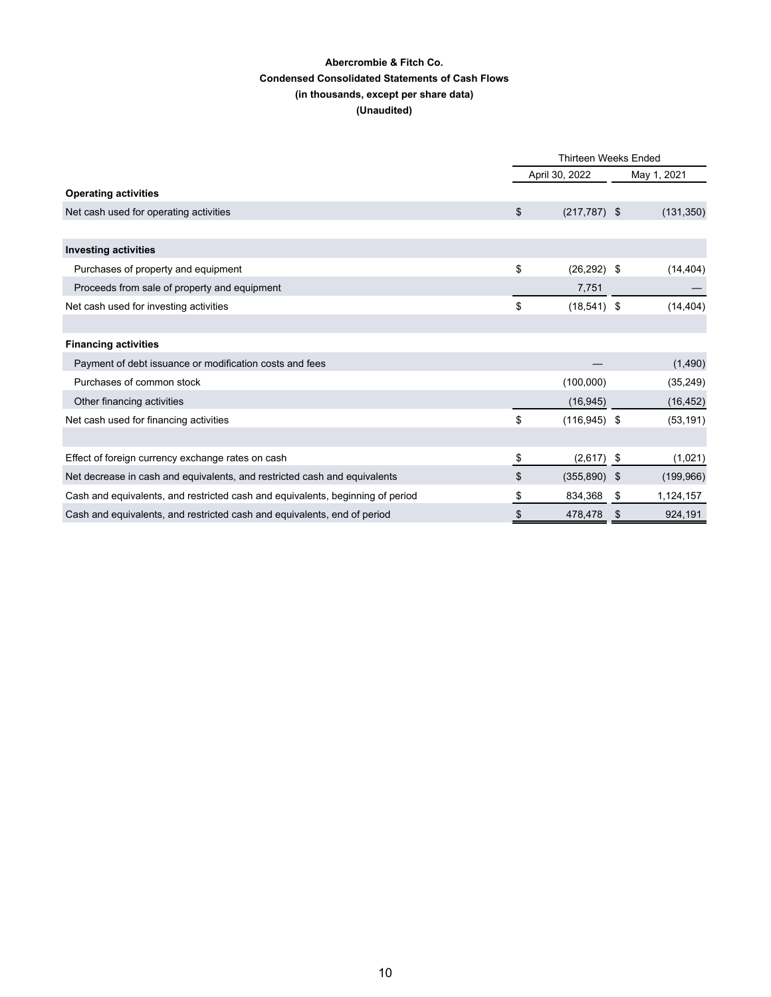# **Abercrombie & Fitch Co. Condensed Consolidated Statements of Cash Flows (in thousands, except per share data) (Unaudited)**

|                                                                                |    | <b>Thirteen Weeks Ended</b> |    |             |
|--------------------------------------------------------------------------------|----|-----------------------------|----|-------------|
|                                                                                |    | April 30, 2022              |    | May 1, 2021 |
| <b>Operating activities</b>                                                    |    |                             |    |             |
| Net cash used for operating activities                                         | \$ | $(217, 787)$ \$             |    | (131, 350)  |
|                                                                                |    |                             |    |             |
| <b>Investing activities</b>                                                    |    |                             |    |             |
| Purchases of property and equipment                                            | \$ | $(26, 292)$ \$              |    | (14, 404)   |
| Proceeds from sale of property and equipment                                   |    | 7,751                       |    |             |
| Net cash used for investing activities                                         | \$ | $(18,541)$ \$               |    | (14, 404)   |
|                                                                                |    |                             |    |             |
| <b>Financing activities</b>                                                    |    |                             |    |             |
| Payment of debt issuance or modification costs and fees                        |    |                             |    | (1,490)     |
| Purchases of common stock                                                      |    | (100,000)                   |    | (35, 249)   |
| Other financing activities                                                     |    | (16, 945)                   |    | (16, 452)   |
| Net cash used for financing activities                                         | \$ | $(116, 945)$ \$             |    | (53, 191)   |
|                                                                                |    |                             |    |             |
| Effect of foreign currency exchange rates on cash                              | \$ | $(2,617)$ \$                |    | (1,021)     |
| Net decrease in cash and equivalents, and restricted cash and equivalents      | \$ | $(355,890)$ \$              |    | (199, 966)  |
| Cash and equivalents, and restricted cash and equivalents, beginning of period | \$ | 834,368                     | \$ | 1,124,157   |
| Cash and equivalents, and restricted cash and equivalents, end of period       | \$ | 478,478                     | \$ | 924,191     |